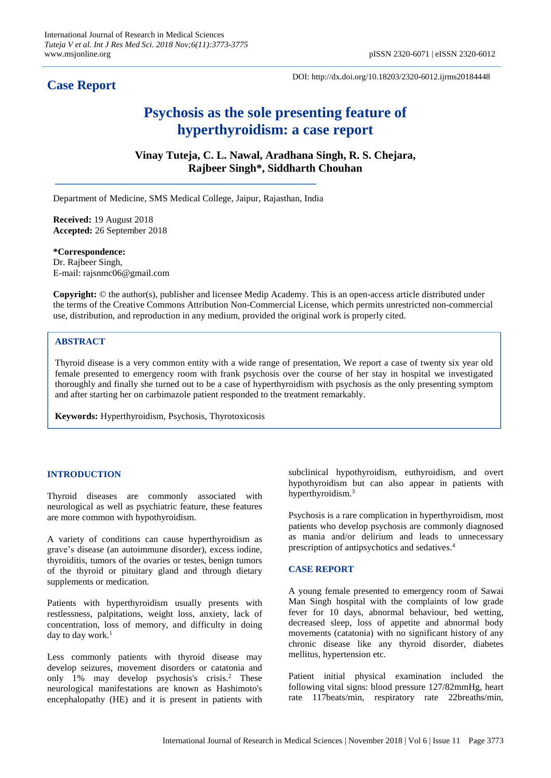## **Case Report**

DOI: http://dx.doi.org/10.18203/2320-6012.ijrms20184448

# **Psychosis as the sole presenting feature of hyperthyroidism: a case report**

**Vinay Tuteja, C. L. Nawal, Aradhana Singh, R. S. Chejara, Rajbeer Singh\*, Siddharth Chouhan**

Department of Medicine, SMS Medical College, Jaipur, Rajasthan, India

**Received:** 19 August 2018 **Accepted:** 26 September 2018

**\*Correspondence:** Dr. Rajbeer Singh, E-mail: rajsnmc06@gmail.com

**Copyright:** © the author(s), publisher and licensee Medip Academy. This is an open-access article distributed under the terms of the Creative Commons Attribution Non-Commercial License, which permits unrestricted non-commercial use, distribution, and reproduction in any medium, provided the original work is properly cited.

### **ABSTRACT**

Thyroid disease is a very common entity with a wide range of presentation, We report a case of twenty six year old female presented to emergency room with frank psychosis over the course of her stay in hospital we investigated thoroughly and finally she turned out to be a case of hyperthyroidism with psychosis as the only presenting symptom and after starting her on carbimazole patient responded to the treatment remarkably.

**Keywords:** Hyperthyroidism, Psychosis, Thyrotoxicosis

#### **INTRODUCTION**

Thyroid diseases are commonly associated with neurological as well as psychiatric feature, these features are more common with hypothyroidism.

A variety of conditions can cause hyperthyroidism as grave's disease (an autoimmune disorder), excess iodine, thyroiditis, tumors of the ovaries or testes, benign [tumors](https://www.healthline.com/health/benign#overview1) of the thyroid or pituitary gland and through dietary supplements or medication.

Patients with hyperthyroidism usually presents with restlessness, palpitations, weight loss, anxiety, lack of concentration, loss of memory, and difficulty in doing day to day work. $<sup>1</sup>$ </sup>

Less commonly patients with thyroid disease may develop seizures, movement disorders or catatonia and only 1% may develop psychosis's crisis.<sup>2</sup> These neurological manifestations are known as Hashimoto's encephalopathy (HE) and it is present in patients with subclinical hypothyroidism, euthyroidism, and overt hypothyroidism but can also appear in patients with hyperthyroidism.<sup>3</sup>

Psychosis is a rare complication in hyperthyroidism, most patients who develop psychosis are commonly diagnosed as mania and/or delirium and leads to unnecessary prescription of antipsychotics and sedatives. 4

#### **CASE REPORT**

A young female presented to emergency room of Sawai Man Singh hospital with the complaints of low grade fever for 10 days, abnormal behaviour, bed wetting, decreased sleep, loss of appetite and abnormal body movements (catatonia) with no significant history of any chronic disease like any thyroid disorder, diabetes mellitus, hypertension etc.

Patient initial physical examination included the following vital signs: blood pressure 127/82mmHg, heart rate 117beats/min, respiratory rate 22breaths/min,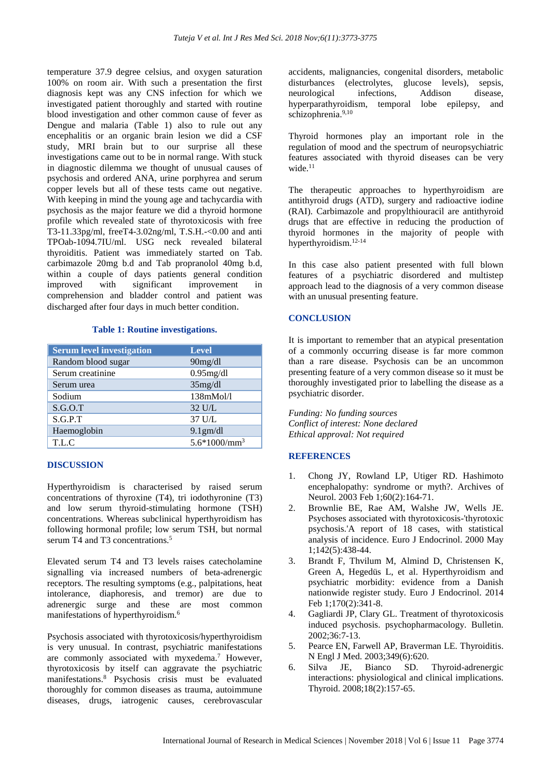temperature 37.9 degree celsius, and oxygen saturation 100% on room air. With such a presentation the first diagnosis kept was any CNS infection for which we investigated patient thoroughly and started with routine blood investigation and other common cause of fever as Dengue and malaria (Table 1) also to rule out any encephalitis or an organic brain lesion we did a CSF study, MRI brain but to our surprise all these investigations came out to be in normal range. With stuck in diagnostic dilemma we thought of unusual causes of psychosis and ordered ANA, urine porphyrea and serum copper levels but all of these tests came out negative. With keeping in mind the young age and tachycardia with psychosis as the major feature we did a thyroid hormone profile which revealed state of thyrotoxicosis with free T3-11.33pg/ml, freeT4-3.02ng/ml, T.S.H.-<0.00 and anti TPOab-1094.7IU/ml. USG neck revealed bilateral thyroiditis. Patient was immediately started on Tab. carbimazole 20mg b.d and Tab propranolol 40mg b.d, within a couple of days patients general condition improved with significant improvement in comprehension and bladder control and patient was discharged after four days in much better condition.

#### **Table 1: Routine investigations.**

| <b>Serum level investigation</b> | <b>Level</b>     |
|----------------------------------|------------------|
| Random blood sugar               | 90mg/dl          |
| Serum creatinine                 | $0.95$ mg/dl     |
| Serum urea                       | 35mg/dl          |
| Sodium                           | 138mMol/l        |
| S.G.O.T                          | $32 \text{ U/L}$ |
| S.G.P.T                          | 37 U/L           |
| Haemoglobin                      | 9.1gm/dl         |
| T.L.C                            | $5.6*1000/mm3$   |

#### **DISCUSSION**

Hyperthyroidism is characterised by raised serum concentrations of thyroxine (T4), tri iodothyronine (T3) and low serum thyroid-stimulating hormone (TSH) concentrations. Whereas subclinical hyperthyroidism has following hormonal profile; low serum TSH, but normal serum T4 and T3 concentrations.<sup>5</sup>

Elevated serum T4 and T3 levels raises catecholamine signalling via increased numbers of beta-adrenergic receptors. The resulting symptoms (e.g., palpitations, heat intolerance, diaphoresis, and tremor) are due to adrenergic surge and these are most common manifestations of hyperthyroidism.<sup>6</sup>

Psychosis associated with thyrotoxicosis/hyperthyroidism is very unusual. In contrast, psychiatric manifestations are commonly associated with myxedema.<sup>7</sup> However, thyrotoxicosis by itself can aggravate the psychiatric manifestations. <sup>8</sup> Psychosis crisis must be evaluated thoroughly for common diseases as trauma, autoimmune diseases, drugs, iatrogenic causes, cerebrovascular accidents, malignancies, congenital disorders, metabolic disturbances (electrolytes, glucose levels), sepsis, neurological infections, Addison disease, hyperparathyroidism, temporal lobe epilepsy, and schizophrenia. 9,10

Thyroid hormones play an important role in the regulation of mood and the spectrum of neuropsychiatric features associated with thyroid diseases can be very wide.<sup>11</sup>

The therapeutic approaches to hyperthyroidism are antithyroid drugs (ATD), surgery and radioactive iodine (RAI). Carbimazole and propylthiouracil are antithyroid drugs that are effective in reducing the production of thyroid hormones in the majority of people with hyperthyroidism. 12-14

In this case also patient presented with full blown features of a psychiatric disordered and multistep approach lead to the diagnosis of a very common disease with an unusual presenting feature.

#### **CONCLUSION**

It is important to remember that an atypical presentation of a commonly occurring disease is far more common than a rare disease. Psychosis can be an uncommon presenting feature of a very common disease so it must be thoroughly investigated prior to labelling the disease as a psychiatric disorder.

*Funding: No funding sources Conflict of interest: None declared Ethical approval: Not required*

#### **REFERENCES**

- 1. Chong JY, Rowland LP, Utiger RD. Hashimoto encephalopathy: syndrome or myth?. Archives of Neurol. 2003 Feb 1;60(2):164-71.
- 2. Brownlie BE, Rae AM, Walshe JW, Wells JE. Psychoses associated with thyrotoxicosis-'thyrotoxic psychosis.'A report of 18 cases, with statistical analysis of incidence. Euro J Endocrinol. 2000 May 1;142(5):438-44.
- 3. Brandt F, Thvilum M, Almind D, Christensen K, Green A, Hegedüs L, et al. Hyperthyroidism and psychiatric morbidity: evidence from a Danish nationwide register study. Euro J Endocrinol. 2014 Feb 1;170(2):341-8.
- 4. Gagliardi JP, Clary GL. Treatment of thyrotoxicosis induced psychosis. psychopharmacology. Bulletin. 2002;36:7-13.
- 5. Pearce EN, Farwell AP, Braverman LE. Thyroiditis. N Engl J Med. 2003;349(6):620.
- 6. Silva JE, Bianco SD. Thyroid-adrenergic interactions: physiological and clinical implications. Thyroid. 2008;18(2):157-65.